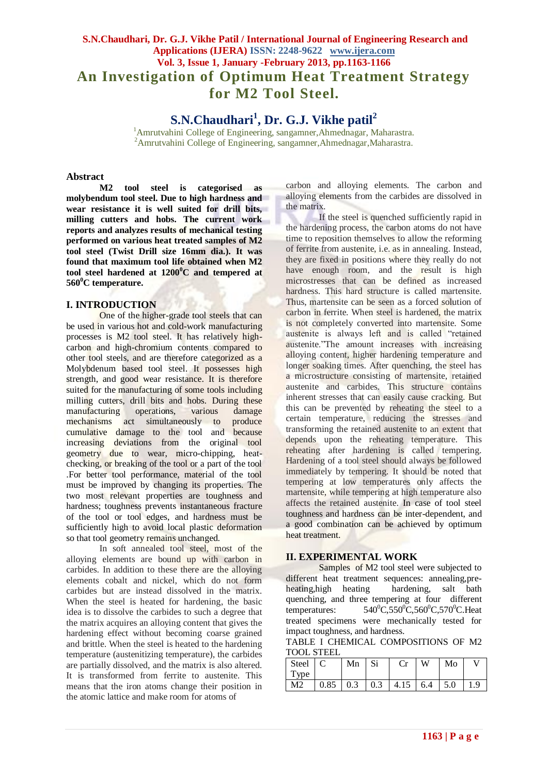# **S.N.Chaudhari, Dr. G.J. Vikhe Patil / International Journal of Engineering Research and Applications (IJERA) ISSN: 2248-9622 www.ijera.com Vol. 3, Issue 1, January -February 2013, pp.1163-1166 An Investigation of Optimum Heat Treatment Strategy for M2 Tool Steel.**

**S.N.Chaudhari<sup>1</sup> , Dr. G.J. Vikhe patil<sup>2</sup>**

<sup>1</sup>Amrutvahini College of Engineering, sangamner,Ahmednagar, Maharastra. <sup>2</sup>Amrutvahini College of Engineering, sangamner,Ahmednagar,Maharastra.

#### **Abstract**

**M2 tool steel is categorised as molybendum tool steel. Due to high hardness and wear resistance it is well suited for drill bits, milling cutters and hobs. The current work reports and analyzes results of mechanical testing performed on various heat treated samples of M2 tool steel (Twist Drill size 16mm dia.). It was found that maximum tool life obtained when M2 tool steel hardened at 1200<sup>0</sup>C and tempered at 560<sup>0</sup>C temperature.** 

#### **I. INTRODUCTION**

One of the higher-grade tool steels that can be used in various hot and cold-work manufacturing processes is M2 tool steel. It has relatively highcarbon and high-chromium contents compared to other tool steels, and are therefore categorized as a Molybdenum based tool steel. It possesses high strength, and good wear resistance. It is therefore suited for the manufacturing of some tools including milling cutters, drill bits and hobs. During these manufacturing operations, various damage mechanisms act simultaneously to produce cumulative damage to the tool and because increasing deviations from the original tool geometry due to wear, micro-chipping, heatchecking, or breaking of the tool or a part of the tool .For better tool performance, material of the tool must be improved by changing its properties. The two most relevant properties are toughness and hardness; toughness prevents instantaneous fracture of the tool or tool edges, and hardness must be sufficiently high to avoid local plastic deformation so that tool geometry remains unchanged.

In soft annealed tool steel, most of the alloying elements are bound up with carbon in carbides. In addition to these there are the alloying elements cobalt and nickel, which do not form carbides but are instead dissolved in the matrix. When the steel is heated for hardening, the basic idea is to dissolve the carbides to such a degree that the matrix acquires an alloying content that gives the hardening effect without becoming coarse grained and brittle. When the steel is heated to the hardening temperature (austenitizing temperature), the carbides are partially dissolved, and the matrix is also altered. It is transformed from ferrite to austenite. This means that the iron atoms change their position in the atomic lattice and make room for atoms of

carbon and alloying elements. The carbon and alloying elements from the carbides are dissolved in the matrix.

If the steel is quenched sufficiently rapid in the hardening process, the carbon atoms do not have time to reposition themselves to allow the reforming of ferrite from austenite, i.e. as in annealing. Instead, they are fixed in positions where they really do not have enough room, and the result is high microstresses that can be defined as increased hardness. This hard structure is called martensite. Thus, martensite can be seen as a forced solution of carbon in ferrite. When steel is hardened, the matrix is not completely converted into martensite. Some austenite is always left and is called "retained austenite."The amount increases with increasing alloying content, higher hardening temperature and longer soaking times. After quenching, the steel has a microstructure consisting of martensite, retained austenite and carbides. This structure contains inherent stresses that can easily cause cracking. But this can be prevented by reheating the steel to a certain temperature, reducing the stresses and transforming the retained austenite to an extent that depends upon the reheating temperature. This reheating after hardening is called tempering. Hardening of a tool steel should always be followed immediately by tempering. It should be noted that tempering at low temperatures only affects the martensite, while tempering at high temperature also affects the retained austenite. In case of tool steel toughness and hardness can be inter-dependent, and a good combination can be achieved by optimum heat treatment.

#### **II. EXPERIMENTAL WORK**

Samples of M2 tool steel were subjected to different heat treatment sequences: annealing,preheating,high heating hardening, salt bath quenching, and three tempering at four different temperatures:  $0^0C,550^0C,560^0C,570^0C$ . Heat treated specimens were mechanically tested for impact toughness, and hardness.

TABLE I CHEMICAL COMPOSITIONS OF M2 TOOL STEEL

| Steel C |                                                                           | Mn Si | $Cr$ W | $\overline{\phantom{a}}$ Mo |  |
|---------|---------------------------------------------------------------------------|-------|--------|-----------------------------|--|
| Type    |                                                                           |       |        |                             |  |
| M2      | $\vert 0.85 \vert 0.3 \vert 0.3 \vert 4.15 \vert 6.4 \vert 5.0 \vert 1.9$ |       |        |                             |  |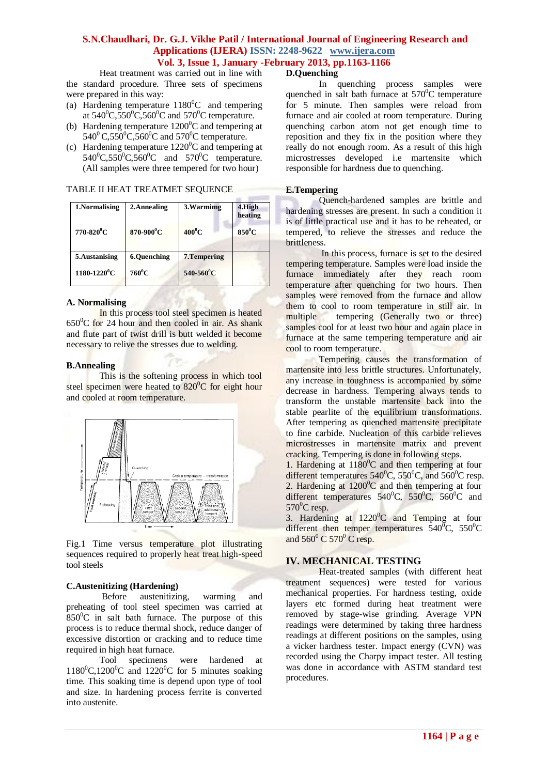#### **S.N.Chaudhari, Dr. G.J. Vikhe Patil / International Journal of Engineering Research and Applications (IJERA) ISSN: 2248-9622 www.ijera.com Vol. 3, Issue 1, January -February 2013, pp.1163-1166**

Heat treatment was carried out in line with the standard procedure. Three sets of specimens were prepared in this way:

- (a) Hardening temperature  $1180^{\circ}$ C and tempering at  $540^{\circ}$ C,  $550^{\circ}$ C,  $560^{\circ}$ C and  $570^{\circ}$ C temperature.
- (b) Hardening temperature  $1200^{\circ}$ C and tempering at  $540^{\circ}$ C,550<sup>°</sup>C,560<sup>°</sup>C and 570<sup>°</sup>C temperature.
- (c) Hardening temperature  $1220^{\circ}$ C and tempering at  $540^{\circ}$ C,550 $^{\circ}$ C,560 $^{\circ}$ C and 570 $^{\circ}$ C temperature. (All samples were three tempered for two hour)

TABLE II HEAT TREATMET SEQUENCE

| 1.Normalising                | 2.Annealing        | 3. Warmimg                 | 4.High<br>heating |
|------------------------------|--------------------|----------------------------|-------------------|
| 770-820 <sup>°</sup> C       | 870-900°C          | $400^0$ C                  | $850^0C$          |
| 5.Austanising                | <b>6.Quenching</b> | 7. Tempering               |                   |
| $1180 - 1220$ <sup>0</sup> C | $760^0C$           | $540 - 560$ <sup>o</sup> C |                   |

#### **A. Normalising**

In this process tool steel specimen is heated  $650^{\circ}$ C for 24 hour and then cooled in air. As shank and flute part of twist drill is butt welded it become necessary to relive the stresses due to welding.

#### **B.Annealing**

This is the softening process in which tool steel specimen were heated to  $820^{\circ}$ C for eight hour and cooled at room temperature.



Fig.1 Time versus temperature plot illustrating sequences required to properly heat treat high-speed tool steels

#### **C.Austenitizing (Hardening)**

Before austenitizing, warming and preheating of tool steel specimen was carried at  $850^{\circ}$ C in salt bath furnace. The purpose of this process is to reduce thermal shock, reduce danger of excessive distortion or cracking and to reduce time required in high heat furnace.

Tool specimens were hardened at  $1180^0C$ ,1200<sup>o</sup>C and 1220<sup>o</sup>C for 5 minutes soaking time. This soaking time is depend upon type of tool and size. In hardening process ferrite is converted into austenite.

#### **D.Quenching**

In quenching process samples were quenched in salt bath furnace at  $570^{\circ}$ C temperature for 5 minute. Then samples were reload from furnace and air cooled at room temperature. During quenching carbon atom not get enough time to reposition and they fix in the position where they really do not enough room. As a result of this high microstresses developed i.e martensite which responsible for hardness due to quenching.

#### **E.Tempering**

Quench-hardened samples are brittle and hardening stresses are present. In such a condition it is of little practical use and it has to be reheated, or tempered*,* to relieve the stresses and reduce the brittleness.

In this process, furnace is set to the desired tempering temperature. Samples were load inside the furnace immediately after they reach room temperature after quenching for two hours. Then samples were removed from the furnace and allow them to cool to room temperature in still air. In multiple tempering (Generally two or three) samples cool for at least two hour and again place in furnace at the same tempering temperature and air cool to room temperature.

Tempering causes the transformation of martensite into less brittle structures. Unfortunately, any increase in toughness is accompanied by some decrease in hardness. Tempering always tends to transform the unstable martensite back into the stable pearlite of the equilibrium transformations. After tempering as quenched martensite precipitate to fine carbide. Nucleation of this carbide relieves microstresses in martensite matrix and prevent cracking. Tempering is done in following steps.

1. Hardening at 1180 <sup>0</sup>C and then tempering at four different temperatures  $540^{\circ}$ C,  $550^{\circ}$ C, and  $560^{\circ}$ C resp. 2. Hardening at  $1200^{\circ}$ C and then tempering at four different temperatures  $540^{\circ}$ C,  $550^{\circ}$ C,  $560^{\circ}$ C and  $570^0$ C resp.

3. Hardening at  $1220^{\circ}$ C and Temping at four different then temper temperatures  $540^{\circ}$ C,  $550^{\circ}$ C and  $560^{\circ}$  C  $570^{\circ}$  C resp.

### **IV. MECHANICAL TESTING**

Heat-treated samples (with different heat treatment sequences) were tested for various mechanical properties. For hardness testing, oxide layers etc formed during heat treatment were removed by stage-wise grinding. Average VPN readings were determined by taking three hardness readings at different positions on the samples, using a vicker hardness tester. Impact energy (CVN) was recorded using the Charpy impact tester. All testing was done in accordance with ASTM standard test procedures.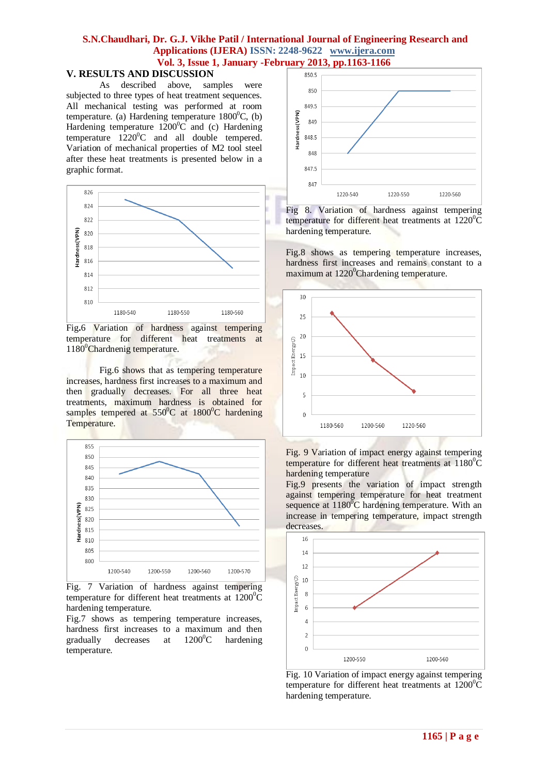### **S.N.Chaudhari, Dr. G.J. Vikhe Patil / International Journal of Engineering Research and Applications (IJERA) ISSN: 2248-9622 www.ijera.com Vol. 3, Issue 1, January -February 2013, pp.1163-1166**

#### **V. RESULTS AND DISCUSSION**

As described above, samples were subjected to three types of heat treatment sequences. All mechanical testing was performed at room temperature. (a) Hardening temperature  $1800^{\circ}$ C, (b) Hardening temperature  $1200^{\circ}$ C and (c) Hardening temperature  $1220^0C$  and all double tempered. Variation of mechanical properties of M2 tool steel after these heat treatments is presented below in a graphic format.



Fig**.**6 Variation of hardness against tempering temperature for different heat treatments at 1180<sup>0</sup>Chardnenig temperature.

Fig.6 shows that as tempering temperature increases, hardness first increases to a maximum and then gradually decreases. For all three heat treatments, maximum hardness is obtained for samples tempered at  $550^{\circ}$ C at  $1800^{\circ}$ C hardening Temperature.



Fig. 7 Variation of hardness against tempering temperature for different heat treatments at  $1200^{\circ}$ C hardening temperature.

Fig.7 shows as tempering temperature increases, hardness first increases to a maximum and then gradually decreases at  $1200^{\circ}$ C hardening temperature.



Fig 8. Variation of hardness against tempering temperature for different heat treatments at  $1220^{\circ}$ C hardening temperature.

Fig.8 shows as tempering temperature increases, hardness first increases and remains constant to a maximum at 1220<sup>°</sup>Chardening temperature.



Fig. 9 Variation of impact energy against tempering temperature for different heat treatments at  $1180^0$ C hardening temperature

Fig.9 presents the variation of impact strength against tempering temperature for heat treatment sequence at  $1180^{\circ}$ C hardening temperature. With an increase in tempering temperature, impact strength decreases.



Fig. 10 Variation of impact energy against tempering temperature for different heat treatments at  $1200^0C$ hardening temperature.